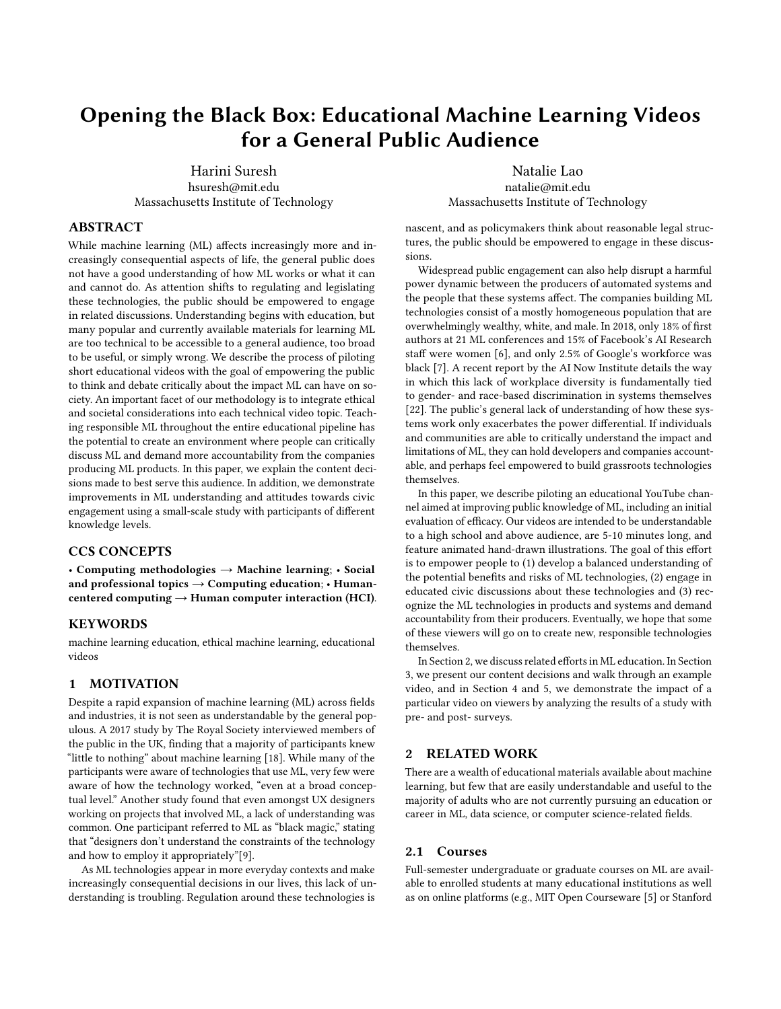# Opening the Black Box: Educational Machine Learning Videos for a General Public Audience

Harini Suresh hsuresh@mit.edu Massachusetts Institute of Technology

Natalie Lao natalie@mit.edu Massachusetts Institute of Technology

## ABSTRACT

While machine learning (ML) affects increasingly more and increasingly consequential aspects of life, the general public does not have a good understanding of how ML works or what it can and cannot do. As attention shifts to regulating and legislating these technologies, the public should be empowered to engage in related discussions. Understanding begins with education, but many popular and currently available materials for learning ML are too technical to be accessible to a general audience, too broad to be useful, or simply wrong. We describe the process of piloting short educational videos with the goal of empowering the public to think and debate critically about the impact ML can have on society. An important facet of our methodology is to integrate ethical and societal considerations into each technical video topic. Teaching responsible ML throughout the entire educational pipeline has the potential to create an environment where people can critically discuss ML and demand more accountability from the companies producing ML products. In this paper, we explain the content decisions made to best serve this audience. In addition, we demonstrate improvements in ML understanding and attitudes towards civic engagement using a small-scale study with participants of different knowledge levels.

#### CCS CONCEPTS

• Computing methodologies → Machine learning; • Social and professional topics  $\rightarrow$  Computing education; • Humancentered computing  $\rightarrow$  Human computer interaction (HCI).

### **KEYWORDS**

machine learning education, ethical machine learning, educational videos

#### 1 MOTIVATION

Despite a rapid expansion of machine learning (ML) across fields and industries, it is not seen as understandable by the general populous. A 2017 study by The Royal Society interviewed members of the public in the UK, finding that a majority of participants knew "little to nothing" about machine learning [\[18\]](#page-8-0). While many of the participants were aware of technologies that use ML, very few were aware of how the technology worked, "even at a broad conceptual level." Another study found that even amongst UX designers working on projects that involved ML, a lack of understanding was common. One participant referred to ML as "black magic," stating that "designers don't understand the constraints of the technology and how to employ it appropriately"[\[9\]](#page-7-0).

As ML technologies appear in more everyday contexts and make increasingly consequential decisions in our lives, this lack of understanding is troubling. Regulation around these technologies is

nascent, and as policymakers think about reasonable legal structures, the public should be empowered to engage in these discussions.

Widespread public engagement can also help disrupt a harmful power dynamic between the producers of automated systems and the people that these systems affect. The companies building ML technologies consist of a mostly homogeneous population that are overwhelmingly wealthy, white, and male. In 2018, only 18% of first authors at 21 ML conferences and 15% of Facebook's AI Research staff were women [\[6\]](#page-7-1), and only 2.5% of Google's workforce was black [\[7\]](#page-7-2). A recent report by the AI Now Institute details the way in which this lack of workplace diversity is fundamentally tied to gender- and race-based discrimination in systems themselves [\[22\]](#page-8-1). The public's general lack of understanding of how these systems work only exacerbates the power differential. If individuals and communities are able to critically understand the impact and limitations of ML, they can hold developers and companies accountable, and perhaps feel empowered to build grassroots technologies themselves.

In this paper, we describe piloting an educational YouTube channel aimed at improving public knowledge of ML, including an initial evaluation of efficacy. Our videos are intended to be understandable to a high school and above audience, are 5-10 minutes long, and feature animated hand-drawn illustrations. The goal of this effort is to empower people to (1) develop a balanced understanding of the potential benefits and risks of ML technologies, (2) engage in educated civic discussions about these technologies and (3) recognize the ML technologies in products and systems and demand accountability from their producers. Eventually, we hope that some of these viewers will go on to create new, responsible technologies themselves.

In Section 2, we discuss related efforts in ML education. In Section 3, we present our content decisions and walk through an example video, and in Section 4 and 5, we demonstrate the impact of a particular video on viewers by analyzing the results of a study with pre- and post- surveys.

#### 2 RELATED WORK

There are a wealth of educational materials available about machine learning, but few that are easily understandable and useful to the majority of adults who are not currently pursuing an education or career in ML, data science, or computer science-related fields.

#### 2.1 Courses

Full-semester undergraduate or graduate courses on ML are available to enrolled students at many educational institutions as well as on online platforms (e.g., MIT Open Courseware [\[5\]](#page-7-3) or Stanford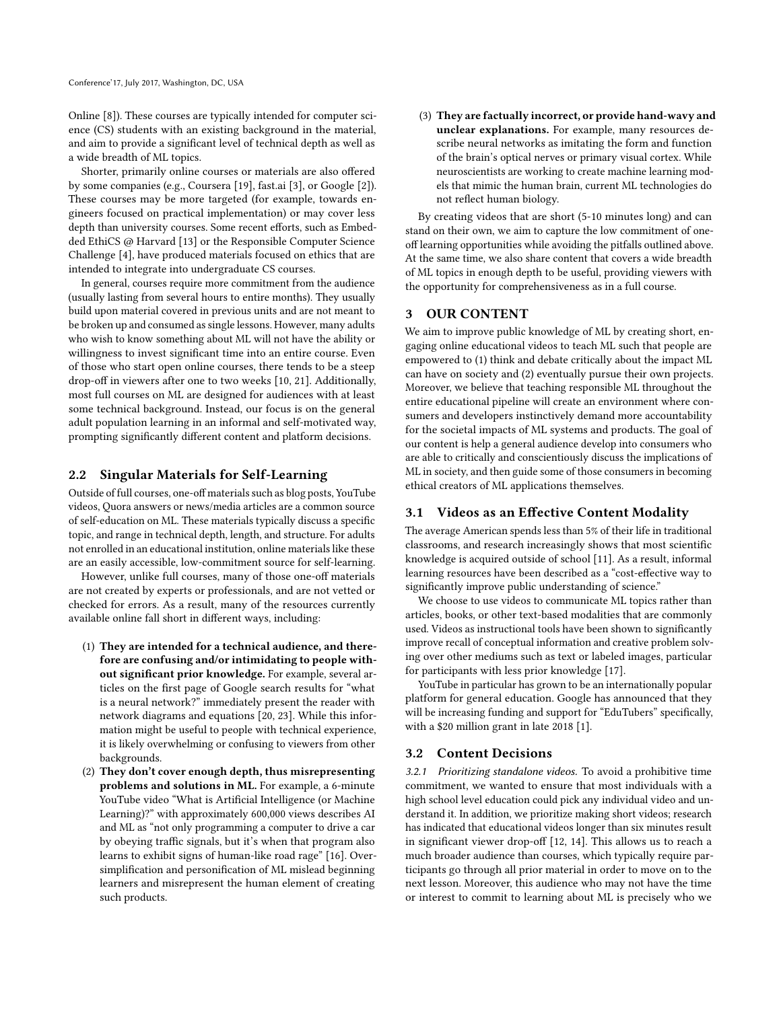Online [\[8\]](#page-7-4)). These courses are typically intended for computer science (CS) students with an existing background in the material, and aim to provide a significant level of technical depth as well as a wide breadth of ML topics.

Shorter, primarily online courses or materials are also offered by some companies (e.g., Coursera [\[19\]](#page-8-2), fast.ai [\[3\]](#page-7-5), or Google [\[2\]](#page-7-6)). These courses may be more targeted (for example, towards engineers focused on practical implementation) or may cover less depth than university courses. Some recent efforts, such as Embedded EthiCS @ Harvard [\[13\]](#page-8-3) or the Responsible Computer Science Challenge [\[4\]](#page-7-7), have produced materials focused on ethics that are intended to integrate into undergraduate CS courses.

In general, courses require more commitment from the audience (usually lasting from several hours to entire months). They usually build upon material covered in previous units and are not meant to be broken up and consumed as single lessons. However, many adults who wish to know something about ML will not have the ability or willingness to invest significant time into an entire course. Even of those who start open online courses, there tends to be a steep drop-off in viewers after one to two weeks [\[10,](#page-7-8) [21\]](#page-8-4). Additionally, most full courses on ML are designed for audiences with at least some technical background. Instead, our focus is on the general adult population learning in an informal and self-motivated way, prompting significantly different content and platform decisions.

#### 2.2 Singular Materials for Self-Learning

Outside of full courses, one-off materials such as blog posts, YouTube videos, Quora answers or news/media articles are a common source of self-education on ML. These materials typically discuss a specific topic, and range in technical depth, length, and structure. For adults not enrolled in an educational institution, online materials like these are an easily accessible, low-commitment source for self-learning.

However, unlike full courses, many of those one-off materials are not created by experts or professionals, and are not vetted or checked for errors. As a result, many of the resources currently available online fall short in different ways, including:

- (1) They are intended for a technical audience, and therefore are confusing and/or intimidating to people without significant prior knowledge. For example, several articles on the first page of Google search results for "what is a neural network?" immediately present the reader with network diagrams and equations [\[20,](#page-8-5) [23\]](#page-8-6). While this information might be useful to people with technical experience, it is likely overwhelming or confusing to viewers from other backgrounds.
- (2) They don't cover enough depth, thus misrepresenting problems and solutions in ML. For example, a 6-minute YouTube video "What is Artificial Intelligence (or Machine Learning)?" with approximately 600,000 views describes AI and ML as "not only programming a computer to drive a car by obeying traffic signals, but it's when that program also learns to exhibit signs of human-like road rage" [\[16\]](#page-8-7). Oversimplification and personification of ML mislead beginning learners and misrepresent the human element of creating such products.

(3) They are factually incorrect, or provide hand-wavy and unclear explanations. For example, many resources describe neural networks as imitating the form and function of the brain's optical nerves or primary visual cortex. While neuroscientists are working to create machine learning models that mimic the human brain, current ML technologies do not reflect human biology.

By creating videos that are short (5-10 minutes long) and can stand on their own, we aim to capture the low commitment of oneoff learning opportunities while avoiding the pitfalls outlined above. At the same time, we also share content that covers a wide breadth of ML topics in enough depth to be useful, providing viewers with the opportunity for comprehensiveness as in a full course.

### 3 OUR CONTENT

We aim to improve public knowledge of ML by creating short, engaging online educational videos to teach ML such that people are empowered to (1) think and debate critically about the impact ML can have on society and (2) eventually pursue their own projects. Moreover, we believe that teaching responsible ML throughout the entire educational pipeline will create an environment where consumers and developers instinctively demand more accountability for the societal impacts of ML systems and products. The goal of our content is help a general audience develop into consumers who are able to critically and conscientiously discuss the implications of ML in society, and then guide some of those consumers in becoming ethical creators of ML applications themselves.

#### 3.1 Videos as an Effective Content Modality

The average American spends less than 5% of their life in traditional classrooms, and research increasingly shows that most scientific knowledge is acquired outside of school [\[11\]](#page-7-9). As a result, informal learning resources have been described as a "cost-effective way to significantly improve public understanding of science."

We choose to use videos to communicate ML topics rather than articles, books, or other text-based modalities that are commonly used. Videos as instructional tools have been shown to significantly improve recall of conceptual information and creative problem solving over other mediums such as text or labeled images, particular for participants with less prior knowledge [\[17\]](#page-8-8).

YouTube in particular has grown to be an internationally popular platform for general education. Google has announced that they will be increasing funding and support for "EduTubers" specifically, with a \$20 million grant in late 2018 [\[1\]](#page-7-10).

#### 3.2 Content Decisions

3.2.1 Prioritizing standalone videos. To avoid a prohibitive time commitment, we wanted to ensure that most individuals with a high school level education could pick any individual video and understand it. In addition, we prioritize making short videos; research has indicated that educational videos longer than six minutes result in significant viewer drop-off [\[12,](#page-7-11) [14\]](#page-8-9). This allows us to reach a much broader audience than courses, which typically require participants go through all prior material in order to move on to the next lesson. Moreover, this audience who may not have the time or interest to commit to learning about ML is precisely who we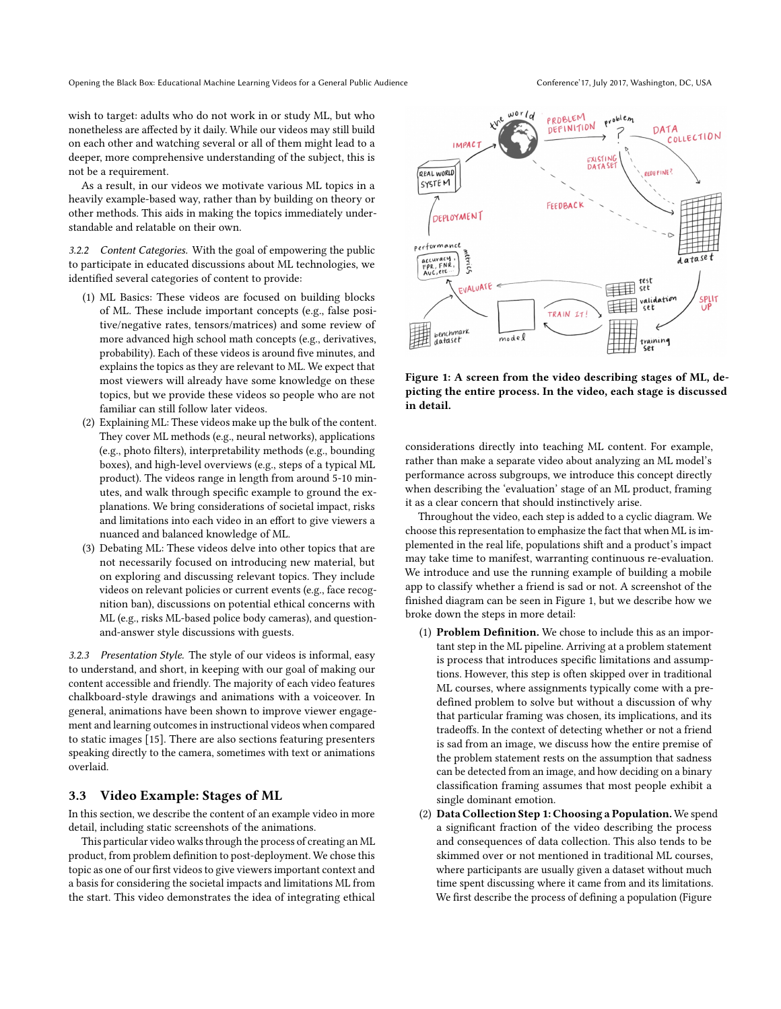wish to target: adults who do not work in or study ML, but who nonetheless are affected by it daily. While our videos may still build on each other and watching several or all of them might lead to a deeper, more comprehensive understanding of the subject, this is not be a requirement.

As a result, in our videos we motivate various ML topics in a heavily example-based way, rather than by building on theory or other methods. This aids in making the topics immediately understandable and relatable on their own.

3.2.2 Content Categories. With the goal of empowering the public to participate in educated discussions about ML technologies, we identified several categories of content to provide:

- (1) ML Basics: These videos are focused on building blocks of ML. These include important concepts (e.g., false positive/negative rates, tensors/matrices) and some review of more advanced high school math concepts (e.g., derivatives, probability). Each of these videos is around five minutes, and explains the topics as they are relevant to ML. We expect that most viewers will already have some knowledge on these topics, but we provide these videos so people who are not familiar can still follow later videos.
- (2) Explaining ML: These videos make up the bulk of the content. They cover ML methods (e.g., neural networks), applications (e.g., photo filters), interpretability methods (e.g., bounding boxes), and high-level overviews (e.g., steps of a typical ML product). The videos range in length from around 5-10 minutes, and walk through specific example to ground the explanations. We bring considerations of societal impact, risks and limitations into each video in an effort to give viewers a nuanced and balanced knowledge of ML.
- (3) Debating ML: These videos delve into other topics that are not necessarily focused on introducing new material, but on exploring and discussing relevant topics. They include videos on relevant policies or current events (e.g., face recognition ban), discussions on potential ethical concerns with ML (e.g., risks ML-based police body cameras), and questionand-answer style discussions with guests.

3.2.3 Presentation Style. The style of our videos is informal, easy to understand, and short, in keeping with our goal of making our content accessible and friendly. The majority of each video features chalkboard-style drawings and animations with a voiceover. In general, animations have been shown to improve viewer engagement and learning outcomes in instructional videos when compared to static images [\[15\]](#page-8-10). There are also sections featuring presenters speaking directly to the camera, sometimes with text or animations overlaid.

#### 3.3 Video Example: Stages of ML

In this section, we describe the content of an example video in more detail, including static screenshots of the animations.

This particular video walks through the process of creating an ML product, from problem definition to post-deployment. We chose this topic as one of our first videos to give viewers important context and a basis for considering the societal impacts and limitations ML from the start. This video demonstrates the idea of integrating ethical

<span id="page-2-0"></span>

Figure 1: A screen from the video describing stages of ML, depicting the entire process. In the video, each stage is discussed in detail.

considerations directly into teaching ML content. For example, rather than make a separate video about analyzing an ML model's performance across subgroups, we introduce this concept directly when describing the 'evaluation' stage of an ML product, framing it as a clear concern that should instinctively arise.

Throughout the video, each step is added to a cyclic diagram. We choose this representation to emphasize the fact that when ML is implemented in the real life, populations shift and a product's impact may take time to manifest, warranting continuous re-evaluation. We introduce and use the running example of building a mobile app to classify whether a friend is sad or not. A screenshot of the finished diagram can be seen in Figure [1,](#page-2-0) but we describe how we broke down the steps in more detail:

- (1) Problem Definition. We chose to include this as an important step in the ML pipeline. Arriving at a problem statement is process that introduces specific limitations and assumptions. However, this step is often skipped over in traditional ML courses, where assignments typically come with a predefined problem to solve but without a discussion of why that particular framing was chosen, its implications, and its tradeoffs. In the context of detecting whether or not a friend is sad from an image, we discuss how the entire premise of the problem statement rests on the assumption that sadness can be detected from an image, and how deciding on a binary classification framing assumes that most people exhibit a single dominant emotion.
- (2) Data Collection Step 1: Choosing a Population. We spend a significant fraction of the video describing the process and consequences of data collection. This also tends to be skimmed over or not mentioned in traditional ML courses, where participants are usually given a dataset without much time spent discussing where it came from and its limitations. We first describe the process of defining a population (Figure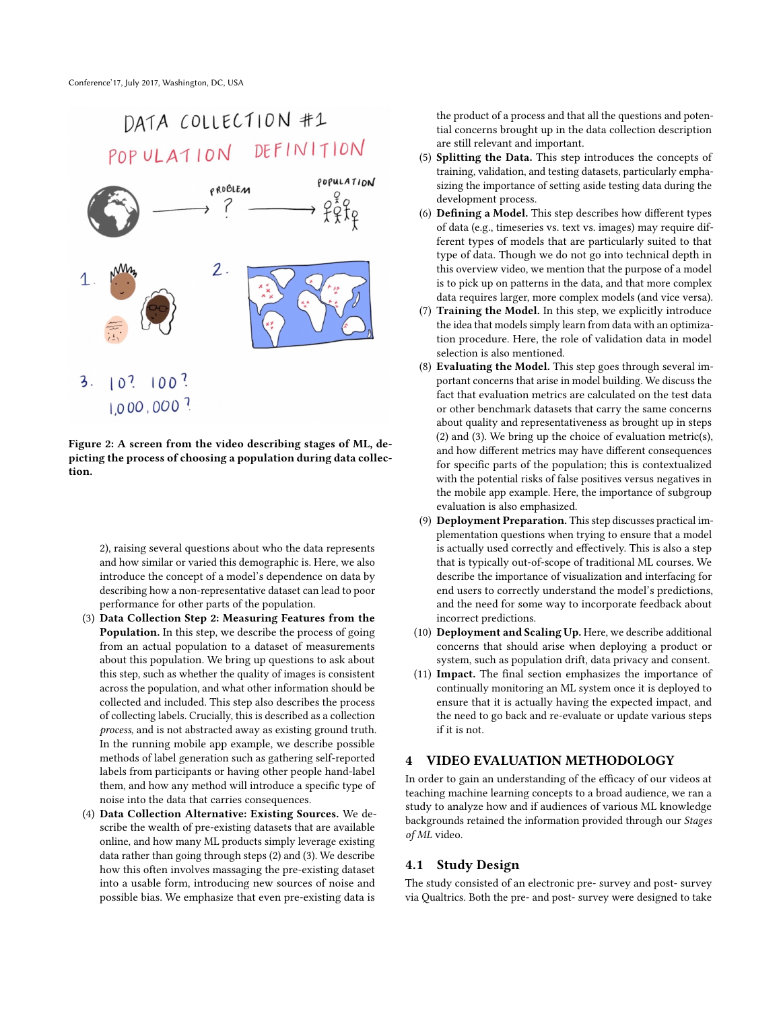<span id="page-3-0"></span>

Figure 2: A screen from the video describing stages of ML, depicting the process of choosing a population during data collection.

[2\)](#page-3-0), raising several questions about who the data represents and how similar or varied this demographic is. Here, we also introduce the concept of a model's dependence on data by describing how a non-representative dataset can lead to poor performance for other parts of the population.

- (3) Data Collection Step 2: Measuring Features from the Population. In this step, we describe the process of going from an actual population to a dataset of measurements about this population. We bring up questions to ask about this step, such as whether the quality of images is consistent across the population, and what other information should be collected and included. This step also describes the process of collecting labels. Crucially, this is described as a collection process, and is not abstracted away as existing ground truth. In the running mobile app example, we describe possible methods of label generation such as gathering self-reported labels from participants or having other people hand-label them, and how any method will introduce a specific type of noise into the data that carries consequences.
- (4) Data Collection Alternative: Existing Sources. We describe the wealth of pre-existing datasets that are available online, and how many ML products simply leverage existing data rather than going through steps (2) and (3). We describe how this often involves massaging the pre-existing dataset into a usable form, introducing new sources of noise and possible bias. We emphasize that even pre-existing data is

the product of a process and that all the questions and potential concerns brought up in the data collection description are still relevant and important.

- (5) Splitting the Data. This step introduces the concepts of training, validation, and testing datasets, particularly emphasizing the importance of setting aside testing data during the development process.
- (6) Defining a Model. This step describes how different types of data (e.g., timeseries vs. text vs. images) may require different types of models that are particularly suited to that type of data. Though we do not go into technical depth in this overview video, we mention that the purpose of a model is to pick up on patterns in the data, and that more complex data requires larger, more complex models (and vice versa).
- (7) Training the Model. In this step, we explicitly introduce the idea that models simply learn from data with an optimization procedure. Here, the role of validation data in model selection is also mentioned.
- (8) Evaluating the Model. This step goes through several important concerns that arise in model building. We discuss the fact that evaluation metrics are calculated on the test data or other benchmark datasets that carry the same concerns about quality and representativeness as brought up in steps (2) and (3). We bring up the choice of evaluation metric(s), and how different metrics may have different consequences for specific parts of the population; this is contextualized with the potential risks of false positives versus negatives in the mobile app example. Here, the importance of subgroup evaluation is also emphasized.
- (9) Deployment Preparation. This step discusses practical implementation questions when trying to ensure that a model is actually used correctly and effectively. This is also a step that is typically out-of-scope of traditional ML courses. We describe the importance of visualization and interfacing for end users to correctly understand the model's predictions, and the need for some way to incorporate feedback about incorrect predictions.
- (10) Deployment and Scaling Up. Here, we describe additional concerns that should arise when deploying a product or system, such as population drift, data privacy and consent.
- (11) Impact. The final section emphasizes the importance of continually monitoring an ML system once it is deployed to ensure that it is actually having the expected impact, and the need to go back and re-evaluate or update various steps if it is not.

#### 4 VIDEO EVALUATION METHODOLOGY

In order to gain an understanding of the efficacy of our videos at teaching machine learning concepts to a broad audience, we ran a study to analyze how and if audiences of various ML knowledge backgrounds retained the information provided through our Stages of ML video.

#### 4.1 Study Design

The study consisted of an electronic pre- survey and post- survey via Qualtrics. Both the pre- and post- survey were designed to take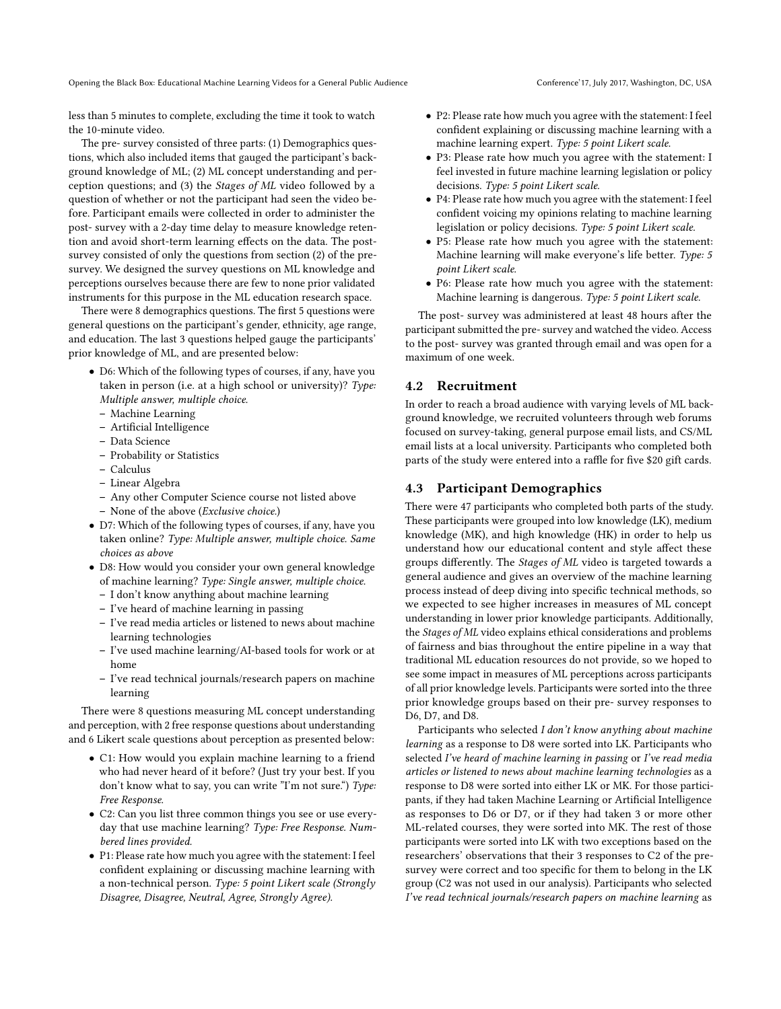Opening the Black Box: Educational Machine Learning Videos for a General Public Audience Conference' Conference' 17, July 2017, Washington, DC, USA

less than 5 minutes to complete, excluding the time it took to watch the 10-minute video.

The pre- survey consisted of three parts: (1) Demographics questions, which also included items that gauged the participant's background knowledge of ML; (2) ML concept understanding and perception questions; and (3) the Stages of ML video followed by a question of whether or not the participant had seen the video before. Participant emails were collected in order to administer the post- survey with a 2-day time delay to measure knowledge retention and avoid short-term learning effects on the data. The postsurvey consisted of only the questions from section (2) of the presurvey. We designed the survey questions on ML knowledge and perceptions ourselves because there are few to none prior validated instruments for this purpose in the ML education research space.

There were 8 demographics questions. The first 5 questions were general questions on the participant's gender, ethnicity, age range, and education. The last 3 questions helped gauge the participants' prior knowledge of ML, and are presented below:

- D6: Which of the following types of courses, if any, have you taken in person (i.e. at a high school or university)? Type: Multiple answer, multiple choice.
	- Machine Learning
	- Artificial Intelligence
	- Data Science
	- Probability or Statistics
	- Calculus
	- Linear Algebra
	- Any other Computer Science course not listed above
	- None of the above (Exclusive choice.)
- D7: Which of the following types of courses, if any, have you taken online? Type: Multiple answer, multiple choice. Same choices as above
- D8: How would you consider your own general knowledge of machine learning? Type: Single answer, multiple choice.
	- I don't know anything about machine learning
	- I've heard of machine learning in passing
	- I've read media articles or listened to news about machine learning technologies
	- I've used machine learning/AI-based tools for work or at home
	- I've read technical journals/research papers on machine learning

There were 8 questions measuring ML concept understanding and perception, with 2 free response questions about understanding and 6 Likert scale questions about perception as presented below:

- C1: How would you explain machine learning to a friend who had never heard of it before? (Just try your best. If you don't know what to say, you can write "I'm not sure.") Type: Free Response.
- C2: Can you list three common things you see or use everyday that use machine learning? Type: Free Response. Numbered lines provided.
- P1: Please rate how much you agree with the statement: I feel confident explaining or discussing machine learning with a non-technical person. Type: 5 point Likert scale (Strongly Disagree, Disagree, Neutral, Agree, Strongly Agree).
- P2: Please rate how much you agree with the statement: I feel confident explaining or discussing machine learning with a machine learning expert. Type: 5 point Likert scale.
- P3: Please rate how much you agree with the statement: I feel invested in future machine learning legislation or policy decisions. Type: 5 point Likert scale.
- P4: Please rate how much you agree with the statement: I feel confident voicing my opinions relating to machine learning legislation or policy decisions. Type: 5 point Likert scale.
- P5: Please rate how much you agree with the statement: Machine learning will make everyone's life better. Type: 5 point Likert scale.
- P6: Please rate how much you agree with the statement: Machine learning is dangerous. Type: 5 point Likert scale.

The post- survey was administered at least 48 hours after the participant submitted the pre- survey and watched the video. Access to the post- survey was granted through email and was open for a maximum of one week.

#### 4.2 Recruitment

In order to reach a broad audience with varying levels of ML background knowledge, we recruited volunteers through web forums focused on survey-taking, general purpose email lists, and CS/ML email lists at a local university. Participants who completed both parts of the study were entered into a raffle for five \$20 gift cards.

#### 4.3 Participant Demographics

There were 47 participants who completed both parts of the study. These participants were grouped into low knowledge (LK), medium knowledge (MK), and high knowledge (HK) in order to help us understand how our educational content and style affect these groups differently. The Stages of ML video is targeted towards a general audience and gives an overview of the machine learning process instead of deep diving into specific technical methods, so we expected to see higher increases in measures of ML concept understanding in lower prior knowledge participants. Additionally, the Stages of ML video explains ethical considerations and problems of fairness and bias throughout the entire pipeline in a way that traditional ML education resources do not provide, so we hoped to see some impact in measures of ML perceptions across participants of all prior knowledge levels. Participants were sorted into the three prior knowledge groups based on their pre- survey responses to D6, D7, and D8.

Participants who selected I don't know anything about machine learning as a response to D8 were sorted into LK. Participants who selected I've heard of machine learning in passing or I've read media articles or listened to news about machine learning technologies as a response to D8 were sorted into either LK or MK. For those participants, if they had taken Machine Learning or Artificial Intelligence as responses to D6 or D7, or if they had taken 3 or more other ML-related courses, they were sorted into MK. The rest of those participants were sorted into LK with two exceptions based on the researchers' observations that their 3 responses to C2 of the presurvey were correct and too specific for them to belong in the LK group (C2 was not used in our analysis). Participants who selected I've read technical journals/research papers on machine learning as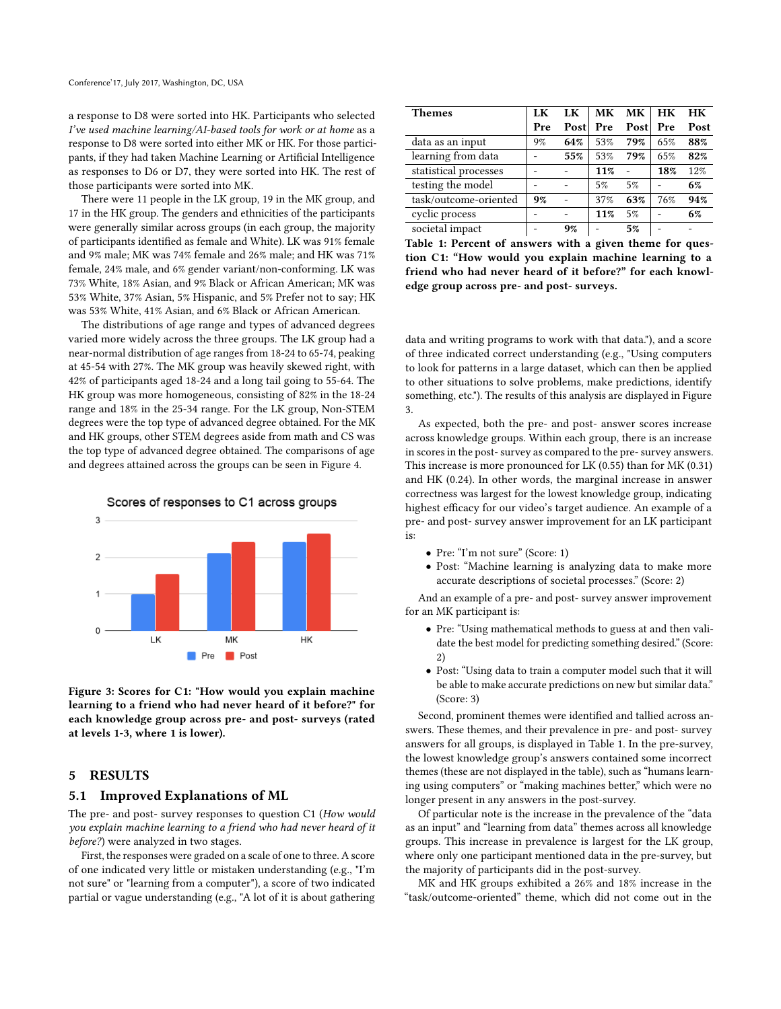a response to D8 were sorted into HK. Participants who selected I've used machine learning/AI-based tools for work or at home as a response to D8 were sorted into either MK or HK. For those participants, if they had taken Machine Learning or Artificial Intelligence as responses to D6 or D7, they were sorted into HK. The rest of those participants were sorted into MK.

There were 11 people in the LK group, 19 in the MK group, and 17 in the HK group. The genders and ethnicities of the participants were generally similar across groups (in each group, the majority of participants identified as female and White). LK was 91% female and 9% male; MK was 74% female and 26% male; and HK was 71% female, 24% male, and 6% gender variant/non-conforming. LK was 73% White, 18% Asian, and 9% Black or African American; MK was 53% White, 37% Asian, 5% Hispanic, and 5% Prefer not to say; HK was 53% White, 41% Asian, and 6% Black or African American.

The distributions of age range and types of advanced degrees varied more widely across the three groups. The LK group had a near-normal distribution of age ranges from 18-24 to 65-74, peaking at 45-54 with 27%. The MK group was heavily skewed right, with 42% of participants aged 18-24 and a long tail going to 55-64. The HK group was more homogeneous, consisting of 82% in the 18-24 range and 18% in the 25-34 range. For the LK group, Non-STEM degrees were the top type of advanced degree obtained. For the MK and HK groups, other STEM degrees aside from math and CS was the top type of advanced degree obtained. The comparisons of age and degrees attained across the groups can be seen in Figure [4.](#page-6-0)

<span id="page-5-0"></span>

Scores of responses to C1 across groups

Figure 3: Scores for C1: "How would you explain machine learning to a friend who had never heard of it before?" for each knowledge group across pre- and post- surveys (rated at levels 1-3, where 1 is lower).

#### 5 RESULTS

#### 5.1 Improved Explanations of ML

The pre- and post- survey responses to question C1 (How would you explain machine learning to a friend who had never heard of it before?) were analyzed in two stages.

First, the responses were graded on a scale of one to three. A score of one indicated very little or mistaken understanding (e.g., "I'm not sure" or "learning from a computer"), a score of two indicated partial or vague understanding (e.g., "A lot of it is about gathering

<span id="page-5-1"></span>

| <b>Themes</b>         | LK  | LK   | <b>MK</b> | MK.  | HK  | HK   |  |
|-----------------------|-----|------|-----------|------|-----|------|--|
|                       | Pre | Post | Pre       | Post | Pre | Post |  |
| data as an input      | 9%  | 64%  | 53%       | 79%  | 65% | 88%  |  |
| learning from data    |     | 55%  | 53%       | 79%  | 65% | 82%  |  |
| statistical processes |     |      | 11%       |      | 18% | 12%  |  |
| testing the model     |     |      | 5%        | 5%   |     | 6%   |  |
| task/outcome-oriented | 9%  |      | 37%       | 63%  | 76% | 94%  |  |
| cyclic process        |     |      | 11%       | 5%   |     | 6%   |  |
| societal impact       |     | 9%   |           | 5%   |     |      |  |

Table 1: Percent of answers with a given theme for question C1: "How would you explain machine learning to a friend who had never heard of it before?" for each knowledge group across pre- and post- surveys.

data and writing programs to work with that data."), and a score of three indicated correct understanding (e.g., "Using computers to look for patterns in a large dataset, which can then be applied to other situations to solve problems, make predictions, identify something, etc."). The results of this analysis are displayed in Figure [3.](#page-5-0)

As expected, both the pre- and post- answer scores increase across knowledge groups. Within each group, there is an increase in scores in the post- survey as compared to the pre- survey answers. This increase is more pronounced for LK (0.55) than for MK (0.31) and HK (0.24). In other words, the marginal increase in answer correctness was largest for the lowest knowledge group, indicating highest efficacy for our video's target audience. An example of a pre- and post- survey answer improvement for an LK participant is:

- Pre: "I'm not sure" (Score: 1)
- Post: "Machine learning is analyzing data to make more accurate descriptions of societal processes." (Score: 2)

And an example of a pre- and post- survey answer improvement for an MK participant is:

- Pre: "Using mathematical methods to guess at and then validate the best model for predicting something desired." (Score: 2)
- Post: "Using data to train a computer model such that it will be able to make accurate predictions on new but similar data." (Score: 3)

Second, prominent themes were identified and tallied across answers. These themes, and their prevalence in pre- and post- survey answers for all groups, is displayed in Table [1.](#page-5-1) In the pre-survey, the lowest knowledge group's answers contained some incorrect themes (these are not displayed in the table), such as "humans learning using computers" or "making machines better," which were no longer present in any answers in the post-survey.

Of particular note is the increase in the prevalence of the "data as an input" and "learning from data" themes across all knowledge groups. This increase in prevalence is largest for the LK group, where only one participant mentioned data in the pre-survey, but the majority of participants did in the post-survey.

MK and HK groups exhibited a 26% and 18% increase in the "task/outcome-oriented" theme, which did not come out in the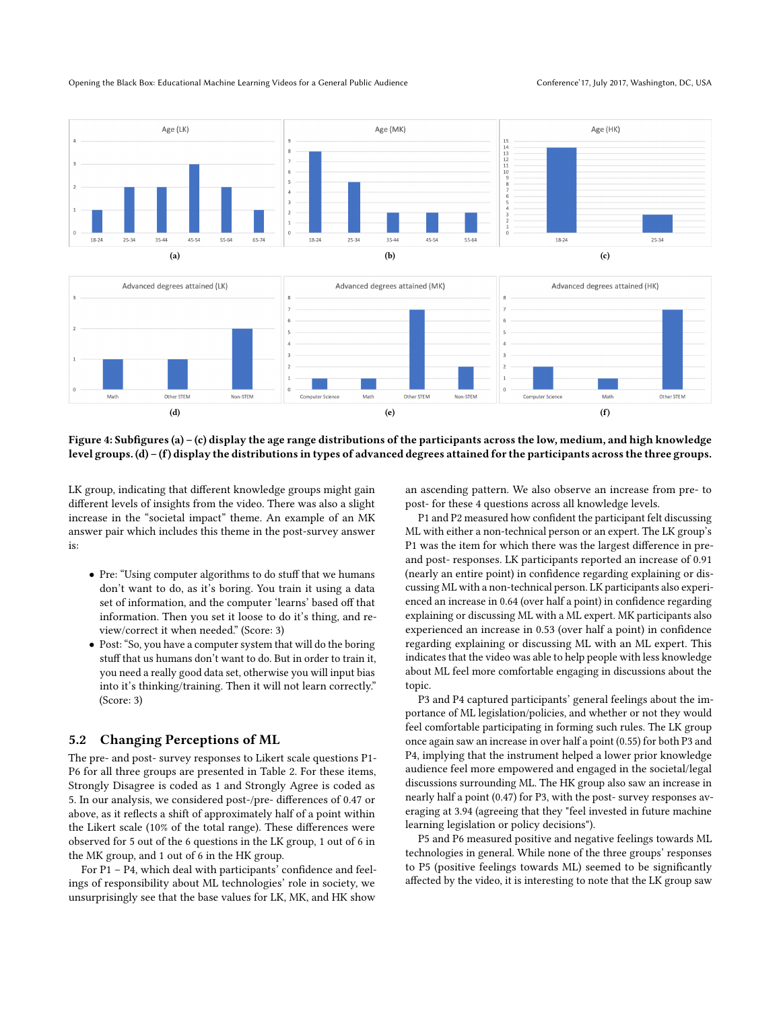#### Opening the Black Box: Educational Machine Learning Videos for a General Public Audience Conference' Conference' 17, July 2017, Washington, DC, USA

<span id="page-6-0"></span>

![](_page_6_Figure_3.jpeg)

Figure 4: Subfigures (a) – (c) display the age range distributions of the participants across the low, medium, and high knowledge level groups. (d) – (f) display the distributions in types of advanced degrees attained for the participants across the three groups.

LK group, indicating that different knowledge groups might gain different levels of insights from the video. There was also a slight increase in the "societal impact" theme. An example of an MK answer pair which includes this theme in the post-survey answer is:

- Pre: "Using computer algorithms to do stuff that we humans don't want to do, as it's boring. You train it using a data set of information, and the computer 'learns' based off that information. Then you set it loose to do it's thing, and review/correct it when needed." (Score: 3)
- Post: "So, you have a computer system that will do the boring stuff that us humans don't want to do. But in order to train it, you need a really good data set, otherwise you will input bias into it's thinking/training. Then it will not learn correctly." (Score: 3)

#### 5.2 Changing Perceptions of ML

The pre- and post- survey responses to Likert scale questions P1- P6 for all three groups are presented in Table [2.](#page-7-12) For these items, Strongly Disagree is coded as 1 and Strongly Agree is coded as 5. In our analysis, we considered post-/pre- differences of 0.47 or above, as it reflects a shift of approximately half of a point within the Likert scale (10% of the total range). These differences were observed for 5 out of the 6 questions in the LK group, 1 out of 6 in the MK group, and 1 out of 6 in the HK group.

For P1 – P4, which deal with participants' confidence and feelings of responsibility about ML technologies' role in society, we unsurprisingly see that the base values for LK, MK, and HK show

an ascending pattern. We also observe an increase from pre- to post- for these 4 questions across all knowledge levels.

P1 and P2 measured how confident the participant felt discussing ML with either a non-technical person or an expert. The LK group's P1 was the item for which there was the largest difference in preand post- responses. LK participants reported an increase of 0.91 (nearly an entire point) in confidence regarding explaining or discussing ML with a non-technical person. LK participants also experienced an increase in 0.64 (over half a point) in confidence regarding explaining or discussing ML with a ML expert. MK participants also experienced an increase in 0.53 (over half a point) in confidence regarding explaining or discussing ML with an ML expert. This indicates that the video was able to help people with less knowledge about ML feel more comfortable engaging in discussions about the topic.

P3 and P4 captured participants' general feelings about the importance of ML legislation/policies, and whether or not they would feel comfortable participating in forming such rules. The LK group once again saw an increase in over half a point (0.55) for both P3 and P4, implying that the instrument helped a lower prior knowledge audience feel more empowered and engaged in the societal/legal discussions surrounding ML. The HK group also saw an increase in nearly half a point (0.47) for P3, with the post- survey responses averaging at 3.94 (agreeing that they "feel invested in future machine learning legislation or policy decisions").

P5 and P6 measured positive and negative feelings towards ML technologies in general. While none of the three groups' responses to P5 (positive feelings towards ML) seemed to be significantly affected by the video, it is interesting to note that the LK group saw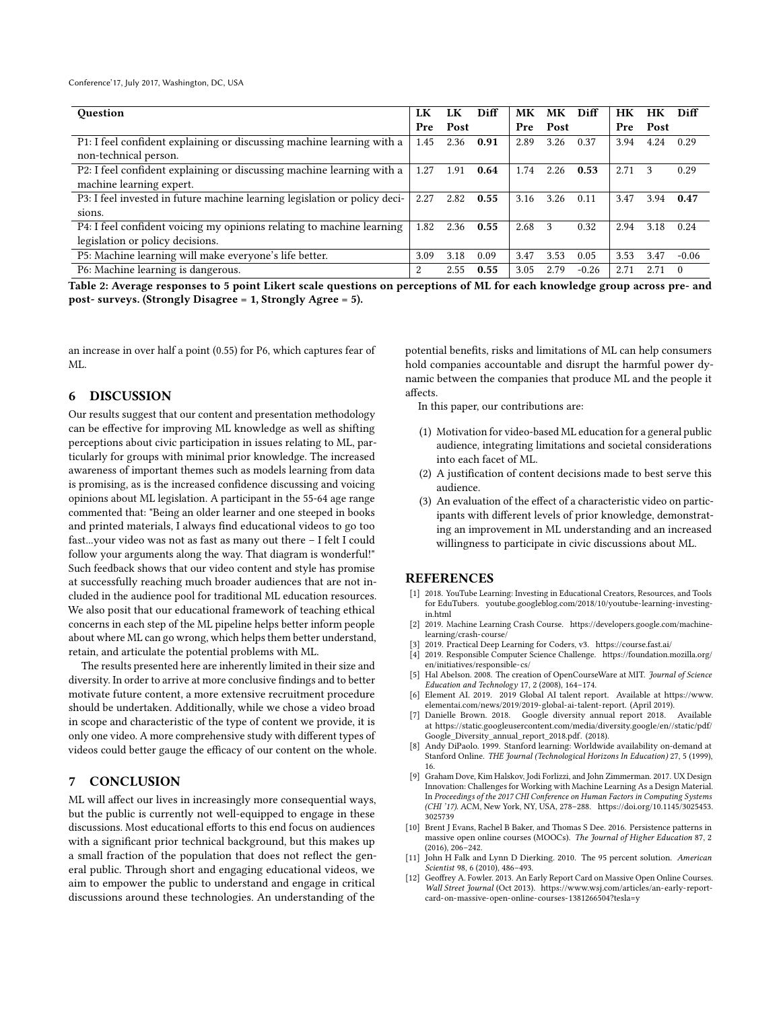Conference'17, July 2017, Washington, DC, USA

<span id="page-7-12"></span>

| <b>Ouestion</b>                                                            |      | LK   | Diff | MК   | MK   | Diff    | HК   | <b>HK</b> | Diff     |
|----------------------------------------------------------------------------|------|------|------|------|------|---------|------|-----------|----------|
|                                                                            |      | Post |      | Pre  | Post |         | Pre  | Post      |          |
| P1: I feel confident explaining or discussing machine learning with a      | 1.45 | 2.36 | 0.91 | 2.89 | 3.26 | 0.37    | 3.94 | 4.24      | 0.29     |
| non-technical person.                                                      |      |      |      |      |      |         |      |           |          |
| P2: I feel confident explaining or discussing machine learning with a      | 1.27 | 1.91 | 0.64 | 1.74 | 2.26 | 0.53    | 2.71 | 3         | 0.29     |
| machine learning expert.                                                   |      |      |      |      |      |         |      |           |          |
| P3: I feel invested in future machine learning legislation or policy deci- | 2.27 | 2.82 | 0.55 | 3.16 | 3.26 | 0.11    | 3.47 | 3.94      | 0.47     |
| sions.                                                                     |      |      |      |      |      |         |      |           |          |
| P4: I feel confident voicing my opinions relating to machine learning      |      | 2.36 | 0.55 | 2.68 | 3    | 0.32    | 2.94 | 3.18      | 0.24     |
| legislation or policy decisions.                                           |      |      |      |      |      |         |      |           |          |
| P5: Machine learning will make everyone's life better.                     |      | 3.18 | 0.09 | 3.47 | 3.53 | 0.05    | 3.53 | 3.47      | $-0.06$  |
| P6: Machine learning is dangerous.                                         |      | 2.55 | 0.55 | 3.05 | 2.79 | $-0.26$ | 2.71 | 2.71      | $\Omega$ |

Table 2: Average responses to 5 point Likert scale questions on perceptions of ML for each knowledge group across pre- and post- surveys. (Strongly Disagree = 1, Strongly Agree = 5).

an increase in over half a point (0.55) for P6, which captures fear of ML.

#### 6 DISCUSSION

Our results suggest that our content and presentation methodology can be effective for improving ML knowledge as well as shifting perceptions about civic participation in issues relating to ML, particularly for groups with minimal prior knowledge. The increased awareness of important themes such as models learning from data is promising, as is the increased confidence discussing and voicing opinions about ML legislation. A participant in the 55-64 age range commented that: "Being an older learner and one steeped in books and printed materials, I always find educational videos to go too fast...your video was not as fast as many out there – I felt I could follow your arguments along the way. That diagram is wonderful!" Such feedback shows that our video content and style has promise at successfully reaching much broader audiences that are not included in the audience pool for traditional ML education resources. We also posit that our educational framework of teaching ethical concerns in each step of the ML pipeline helps better inform people about where ML can go wrong, which helps them better understand, retain, and articulate the potential problems with ML.

The results presented here are inherently limited in their size and diversity. In order to arrive at more conclusive findings and to better motivate future content, a more extensive recruitment procedure should be undertaken. Additionally, while we chose a video broad in scope and characteristic of the type of content we provide, it is only one video. A more comprehensive study with different types of videos could better gauge the efficacy of our content on the whole.

#### 7 CONCLUSION

ML will affect our lives in increasingly more consequential ways, but the public is currently not well-equipped to engage in these discussions. Most educational efforts to this end focus on audiences with a significant prior technical background, but this makes up a small fraction of the population that does not reflect the general public. Through short and engaging educational videos, we aim to empower the public to understand and engage in critical discussions around these technologies. An understanding of the

potential benefits, risks and limitations of ML can help consumers hold companies accountable and disrupt the harmful power dynamic between the companies that produce ML and the people it affects.

In this paper, our contributions are:

- (1) Motivation for video-based ML education for a general public audience, integrating limitations and societal considerations into each facet of ML.
- (2) A justification of content decisions made to best serve this audience.
- (3) An evaluation of the effect of a characteristic video on participants with different levels of prior knowledge, demonstrating an improvement in ML understanding and an increased willingness to participate in civic discussions about ML.

#### REFERENCES

- <span id="page-7-10"></span>[1] 2018. YouTube Learning: Investing in Educational Creators, Resources, and Tools for EduTubers. [youtube.googleblog.com/2018/10/youtube-learning-investing](youtube.googleblog.com/2018/10/youtube-learning-investing-in.html)[in.html](youtube.googleblog.com/2018/10/youtube-learning-investing-in.html)
- <span id="page-7-6"></span>[2] 2019. Machine Learning Crash Course. [https://developers.google.com/machine](https://developers.google.com/machine-learning/crash-course/)[learning/crash-course/](https://developers.google.com/machine-learning/crash-course/)
- <span id="page-7-5"></span>[3] 2019. Practical Deep Learning for Coders, v3.<https://course.fast.ai/>
- <span id="page-7-7"></span>[4] 2019. Responsible Computer Science Challenge. [https://foundation.mozilla.org/](https://foundation.mozilla.org/en/initiatives/responsible-cs/) [en/initiatives/responsible-cs/](https://foundation.mozilla.org/en/initiatives/responsible-cs/)
- <span id="page-7-3"></span>[5] Hal Abelson. 2008. The creation of OpenCourseWare at MIT. Journal of Science Education and Technology 17, 2 (2008), 164–174.
- <span id="page-7-1"></span>Element AI. 2019. 2019 Global AI talent report. Available at [https://www.](https://www.elementai.com/news/2019/2019-global-ai-talent-report) [elementai.com/news/2019/2019-global-ai-talent-report.](https://www.elementai.com/news/2019/2019-global-ai-talent-report) (April 2019).
- <span id="page-7-2"></span>[7] Danielle Brown. 2018. Google diversity annual report 2018. Available at [https://static.googleusercontent.com/media/diversity.google/en//static/pdf/](https://static.googleusercontent.com/media/diversity.google/en//static/pdf/Google_Diversity_annual_report_2018.pdf) [Google\\_Diversity\\_annual\\_report\\_2018.pdf.](https://static.googleusercontent.com/media/diversity.google/en//static/pdf/Google_Diversity_annual_report_2018.pdf) (2018).
- <span id="page-7-4"></span>[8] Andy DiPaolo. 1999. Stanford learning: Worldwide availability on-demand at Stanford Online. THE Journal (Technological Horizons In Education) 27, 5 (1999), 16.
- <span id="page-7-0"></span>[9] Graham Dove, Kim Halskov, Jodi Forlizzi, and John Zimmerman. 2017. UX Design Innovation: Challenges for Working with Machine Learning As a Design Material. In Proceedings of the 2017 CHI Conference on Human Factors in Computing Systems (CHI '17). ACM, New York, NY, USA, 278–288. [https://doi.org/10.1145/3025453.](https://doi.org/10.1145/3025453.3025739) [3025739](https://doi.org/10.1145/3025453.3025739)
- <span id="page-7-8"></span>[10] Brent J Evans, Rachel B Baker, and Thomas S Dee. 2016. Persistence patterns in massive open online courses (MOOCs). The Journal of Higher Education 87, 2 (2016), 206–242.
- <span id="page-7-9"></span>[11] John H Falk and Lynn D Dierking. 2010. The 95 percent solution. American Scientist 98, 6 (2010), 486–493.
- <span id="page-7-11"></span>[12] Geoffrey A. Fowler. 2013. An Early Report Card on Massive Open Online Courses. Wall Street Journal (Oct 2013). [https://www.wsj.com/articles/an-early-report](https://www.wsj.com/articles/an-early-report-card-on-massive-open-online-courses-1381266504?tesla=y)[card-on-massive-open-online-courses-1381266504?tesla=y](https://www.wsj.com/articles/an-early-report-card-on-massive-open-online-courses-1381266504?tesla=y)